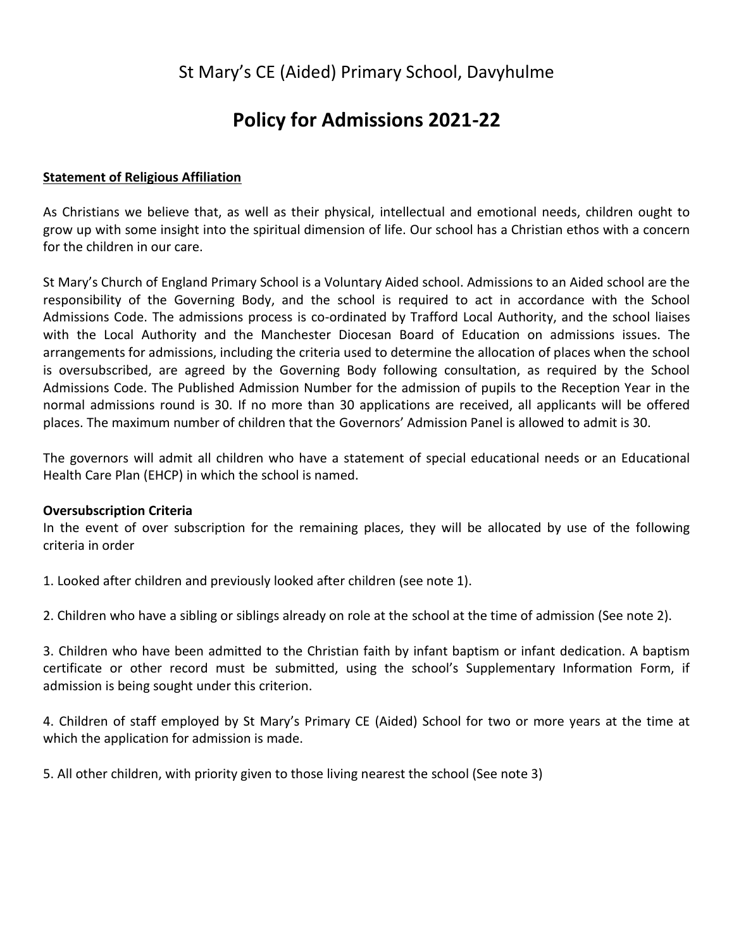# St Mary's CE (Aided) Primary School, Davyhulme

# **Policy for Admissions 2021-22**

# **Statement of Religious Affiliation**

As Christians we believe that, as well as their physical, intellectual and emotional needs, children ought to grow up with some insight into the spiritual dimension of life. Our school has a Christian ethos with a concern for the children in our care.

St Mary's Church of England Primary School is a Voluntary Aided school. Admissions to an Aided school are the responsibility of the Governing Body, and the school is required to act in accordance with the School Admissions Code. The admissions process is co-ordinated by Trafford Local Authority, and the school liaises with the Local Authority and the Manchester Diocesan Board of Education on admissions issues. The arrangements for admissions, including the criteria used to determine the allocation of places when the school is oversubscribed, are agreed by the Governing Body following consultation, as required by the School Admissions Code. The Published Admission Number for the admission of pupils to the Reception Year in the normal admissions round is 30. If no more than 30 applications are received, all applicants will be offered places. The maximum number of children that the Governors' Admission Panel is allowed to admit is 30.

The governors will admit all children who have a statement of special educational needs or an Educational Health Care Plan (EHCP) in which the school is named.

# **Oversubscription Criteria**

In the event of over subscription for the remaining places, they will be allocated by use of the following criteria in order

1. Looked after children and previously looked after children (see note 1).

2. Children who have a sibling or siblings already on role at the school at the time of admission (See note 2).

3. Children who have been admitted to the Christian faith by infant baptism or infant dedication. A baptism certificate or other record must be submitted, using the school's Supplementary Information Form, if admission is being sought under this criterion.

4. Children of staff employed by St Mary's Primary CE (Aided) School for two or more years at the time at which the application for admission is made.

5. All other children, with priority given to those living nearest the school (See note 3)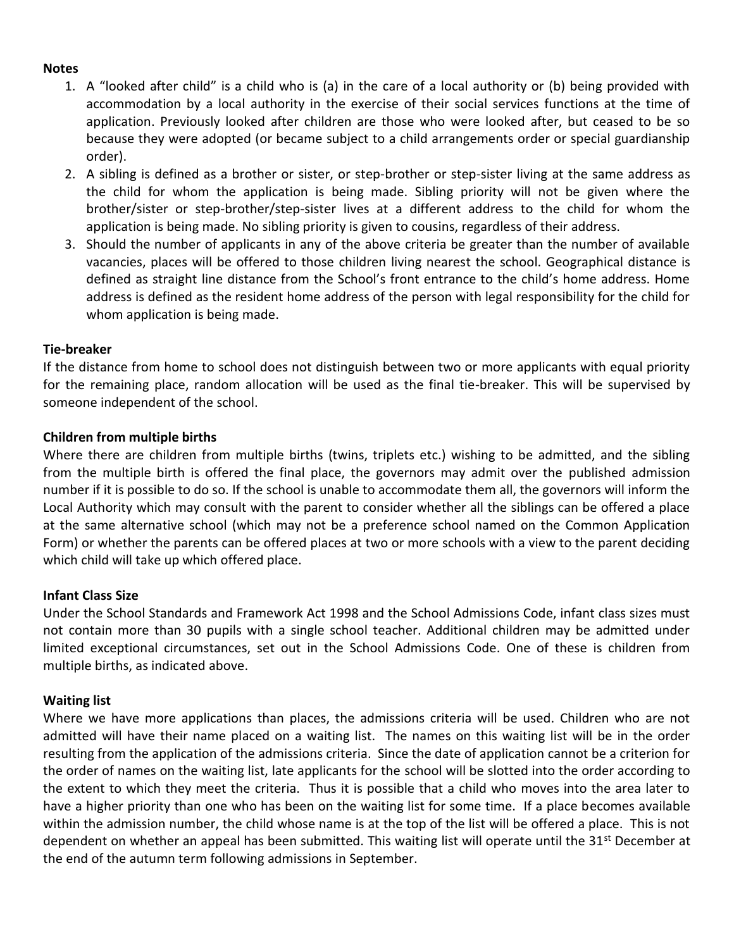#### **Notes**

- 1. A "looked after child" is a child who is (a) in the care of a local authority or (b) being provided with accommodation by a local authority in the exercise of their social services functions at the time of application. Previously looked after children are those who were looked after, but ceased to be so because they were adopted (or became subject to a child arrangements order or special guardianship order).
- 2. A sibling is defined as a brother or sister, or step-brother or step-sister living at the same address as the child for whom the application is being made. Sibling priority will not be given where the brother/sister or step-brother/step-sister lives at a different address to the child for whom the application is being made. No sibling priority is given to cousins, regardless of their address.
- 3. Should the number of applicants in any of the above criteria be greater than the number of available vacancies, places will be offered to those children living nearest the school. Geographical distance is defined as straight line distance from the School's front entrance to the child's home address. Home address is defined as the resident home address of the person with legal responsibility for the child for whom application is being made.

#### **Tie-breaker**

If the distance from home to school does not distinguish between two or more applicants with equal priority for the remaining place, random allocation will be used as the final tie-breaker. This will be supervised by someone independent of the school.

#### **Children from multiple births**

Where there are children from multiple births (twins, triplets etc.) wishing to be admitted, and the sibling from the multiple birth is offered the final place, the governors may admit over the published admission number if it is possible to do so. If the school is unable to accommodate them all, the governors will inform the Local Authority which may consult with the parent to consider whether all the siblings can be offered a place at the same alternative school (which may not be a preference school named on the Common Application Form) or whether the parents can be offered places at two or more schools with a view to the parent deciding which child will take up which offered place.

#### **Infant Class Size**

Under the School Standards and Framework Act 1998 and the School Admissions Code, infant class sizes must not contain more than 30 pupils with a single school teacher. Additional children may be admitted under limited exceptional circumstances, set out in the School Admissions Code. One of these is children from multiple births, as indicated above.

#### **Waiting list**

Where we have more applications than places, the admissions criteria will be used. Children who are not admitted will have their name placed on a waiting list. The names on this waiting list will be in the order resulting from the application of the admissions criteria. Since the date of application cannot be a criterion for the order of names on the waiting list, late applicants for the school will be slotted into the order according to the extent to which they meet the criteria. Thus it is possible that a child who moves into the area later to have a higher priority than one who has been on the waiting list for some time. If a place becomes available within the admission number, the child whose name is at the top of the list will be offered a place. This is not dependent on whether an appeal has been submitted. This waiting list will operate until the 31<sup>st</sup> December at the end of the autumn term following admissions in September.